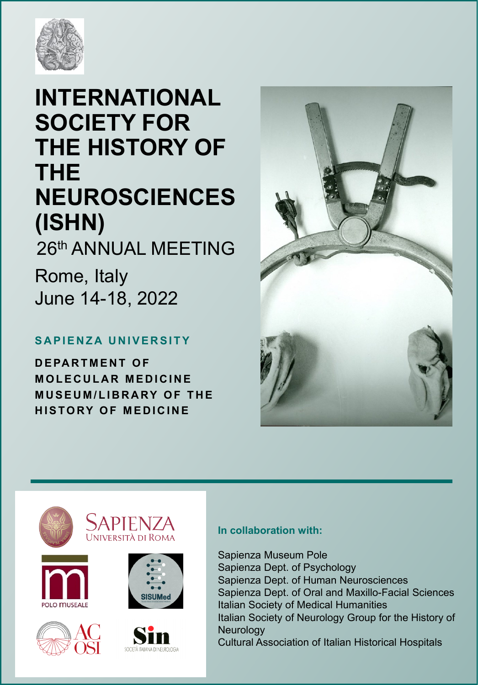

# **INTERNATIONAL SOCIETY FOR THE HISTORY OF THE NEUROSCIENCES (ISHN)** 26th ANNUAL MEETING

Rome, Italy June 14-18, 2022

#### **SAPIENZA UNIVERSITY**

**DEPARTMENT OF MOLECULAR MEDICINE M U S E U M / L I B R A RY O F T H E HISTORY OF MEDICINE** 







# Università di Roma









#### **In collaboration with:**

#### Sapienza Museum Pole Sapienza Dept. of Psychology Sapienza Dept. of Human Neurosciences Sapienza Dept. of Oral and Maxillo-Facial Sciences Italian Society of Medical Humanities Italian Society of Neurology Group for the History of **Neurology** Cultural Association of Italian Historical Hospitals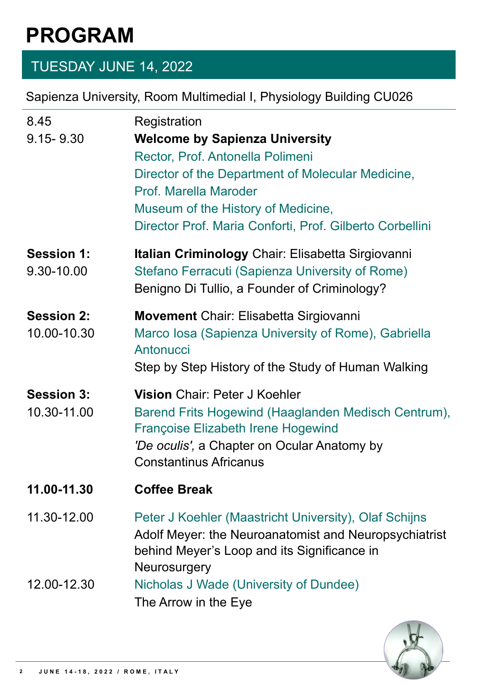# **PROGRAM**

# TUESDAY JUNE 14, 2022

Sapienza University, Room Multimedial I, Physiology Building CU026

| 8.45                            | Registration                                                                                                                                                |
|---------------------------------|-------------------------------------------------------------------------------------------------------------------------------------------------------------|
| $9.15 - 9.30$                   | <b>Welcome by Sapienza University</b>                                                                                                                       |
|                                 | Rector, Prof. Antonella Polimeni                                                                                                                            |
|                                 | Director of the Department of Molecular Medicine,                                                                                                           |
|                                 | Prof. Marella Maroder                                                                                                                                       |
|                                 | Museum of the History of Medicine,                                                                                                                          |
|                                 | Director Prof. Maria Conforti, Prof. Gilberto Corbellini                                                                                                    |
| <b>Session 1:</b><br>9.30-10.00 | <b>Italian Criminology</b> Chair: Elisabetta Sirgiovanni<br>Stefano Ferracuti (Sapienza University of Rome)<br>Benigno Di Tullio, a Founder of Criminology? |
| <b>Session 2:</b>               | <b>Movement</b> Chair: Elisabetta Sirgiovanni                                                                                                               |
| 10.00-10.30                     | Marco Iosa (Sapienza University of Rome), Gabriella<br>Antonucci                                                                                            |
|                                 | Step by Step History of the Study of Human Walking                                                                                                          |
|                                 |                                                                                                                                                             |
| <b>Session 3:</b>               | <b>Vision</b> Chair: Peter J Koehler                                                                                                                        |
| 10.30-11.00                     | Barend Frits Hogewind (Haaglanden Medisch Centrum),<br><b>Françoise Elizabeth Irene Hogewind</b>                                                            |
|                                 | 'De oculis', a Chapter on Ocular Anatomy by                                                                                                                 |
|                                 | <b>Constantinus Africanus</b>                                                                                                                               |
| 11.00-11.30                     | <b>Coffee Break</b>                                                                                                                                         |

11.30-12.00 Peter J Koehler (Maastricht University), Olaf Schijns Adolf Meyer: the Neuroanatomist and Neuropsychiatrist behind Meyer's Loop and its Significance in **Neurosurgery** 12.00-12.30 Nicholas J Wade (University of Dundee) The Arrow in the Eye

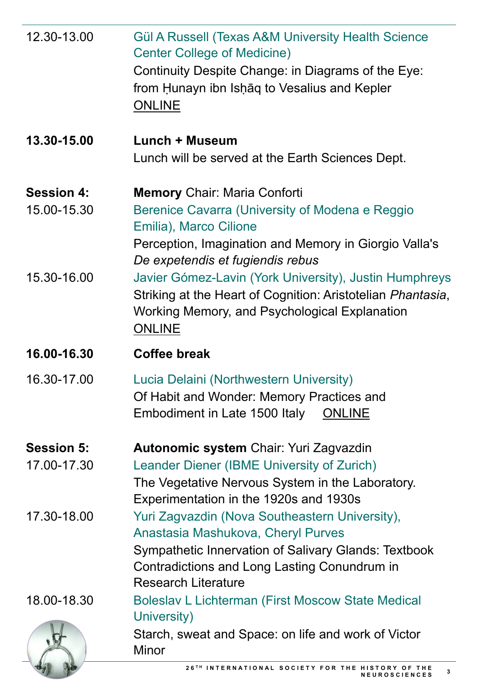| 12.30-13.00       | <b>Gül A Russell (Texas A&amp;M University Health Science</b><br><b>Center College of Medicine)</b><br>Continuity Despite Change: in Diagrams of the Eye:<br>from Hunayn ibn Ishaq to Vesalius and Kepler<br><b>ONLINE</b> |
|-------------------|----------------------------------------------------------------------------------------------------------------------------------------------------------------------------------------------------------------------------|
| 13.30-15.00       | Lunch + Museum                                                                                                                                                                                                             |
|                   | Lunch will be served at the Earth Sciences Dept.                                                                                                                                                                           |
| <b>Session 4:</b> | <b>Memory Chair: Maria Conforti</b>                                                                                                                                                                                        |
| 15.00-15.30       | Berenice Cavarra (University of Modena e Reggio<br>Emilia), Marco Cilione                                                                                                                                                  |
|                   | Perception, Imagination and Memory in Giorgio Valla's<br>De expetendis et fugiendis rebus                                                                                                                                  |
| 15.30-16.00       | Javier Gómez-Lavin (York University), Justin Humphreys<br>Striking at the Heart of Cognition: Aristotelian <i>Phantasia</i> ,<br>Working Memory, and Psychological Explanation<br><b>ONLINE</b>                            |
| 16.00-16.30       | <b>Coffee break</b>                                                                                                                                                                                                        |
| 16.30-17.00       | Lucia Delaini (Northwestern University)<br>Of Habit and Wonder: Memory Practices and<br>Embodiment in Late 1500 Italy<br><b>ONLINE</b>                                                                                     |
| <b>Session 5:</b> | <b>Autonomic system Chair: Yuri Zagvazdin</b>                                                                                                                                                                              |
| 17.00-17.30       | <b>Leander Diener (IBME University of Zurich)</b><br>The Vegetative Nervous System in the Laboratory.<br>Experimentation in the 1920s and 1930s                                                                            |
| $17.30 - 18.00$   | Yuri Zagyazdin (Nova Southeastern University).                                                                                                                                                                             |

17.30-18.00 Yuri Zagvazdin (Nova Southeastern University), Anastasia Mashukova, Cheryl Purves

> Sympathetic Innervation of Salivary Glands: Textbook Contradictions and Long Lasting Conundrum in Research Literature

18.00-18.30 Boleslav L Lichterman (First Moscow State Medical University)



Starch, sweat and Space: on life and work of Victor Minor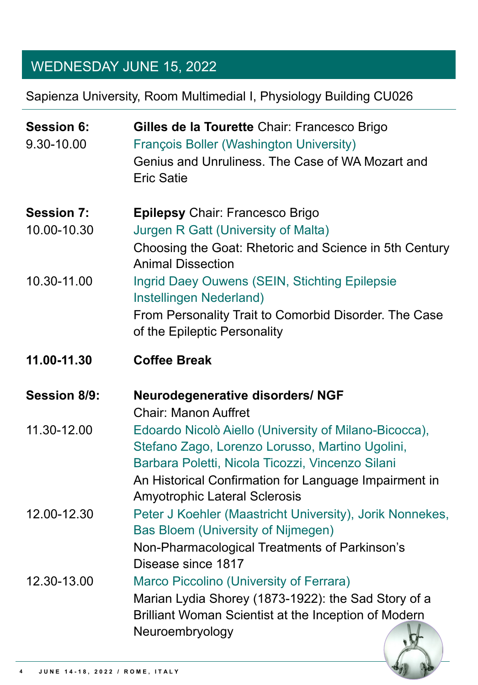# WEDNESDAY JUNE 15, 2022

Sapienza University, Room Multimedial I, Physiology Building CU026

| <b>Session 6:</b><br>9.30-10.00 | Gilles de la Tourette Chair: Francesco Brigo<br><b>François Boller (Washington University)</b><br>Genius and Unruliness. The Case of WA Mozart and<br><b>Eric Satie</b> |
|---------------------------------|-------------------------------------------------------------------------------------------------------------------------------------------------------------------------|
| <b>Session 7:</b>               | <b>Epilepsy Chair: Francesco Brigo</b>                                                                                                                                  |
| 10.00-10.30                     | Jurgen R Gatt (University of Malta)                                                                                                                                     |
|                                 | Choosing the Goat: Rhetoric and Science in 5th Century<br><b>Animal Dissection</b>                                                                                      |
| 10.30-11.00                     | <b>Ingrid Daey Ouwens (SEIN, Stichting Epilepsie</b><br>Instellingen Nederland)                                                                                         |
|                                 | From Personality Trait to Comorbid Disorder. The Case<br>of the Epileptic Personality                                                                                   |
| 11.00-11.30                     | <b>Coffee Break</b>                                                                                                                                                     |
| <b>Session 8/9:</b>             | <b>Neurodegenerative disorders/ NGF</b>                                                                                                                                 |
|                                 | <b>Chair: Manon Auffret</b>                                                                                                                                             |
| 11.30-12.00                     | Edoardo Nicolò Aiello (University of Milano-Bicocca),<br>Stefano Zago, Lorenzo Lorusso, Martino Ugolini,<br>Barbara Poletti, Nicola Ticozzi, Vincenzo Silani            |
|                                 | An Historical Confirmation for Language Impairment in                                                                                                                   |
|                                 | <b>Amyotrophic Lateral Sclerosis</b>                                                                                                                                    |
| 12.00-12.30                     | Peter J Koehler (Maastricht University), Jorik Nonnekes,                                                                                                                |

Bas Bloem (University of Nijmegen) Non-Pharmacological Treatments of Parkinson's Disease since 1817 12.30-13.00 Marco Piccolino (University of Ferrara) Marian Lydia Shorey (1873-1922): the Sad Story of a Brilliant Woman Scientist at the Inception of Modern Neuroembryology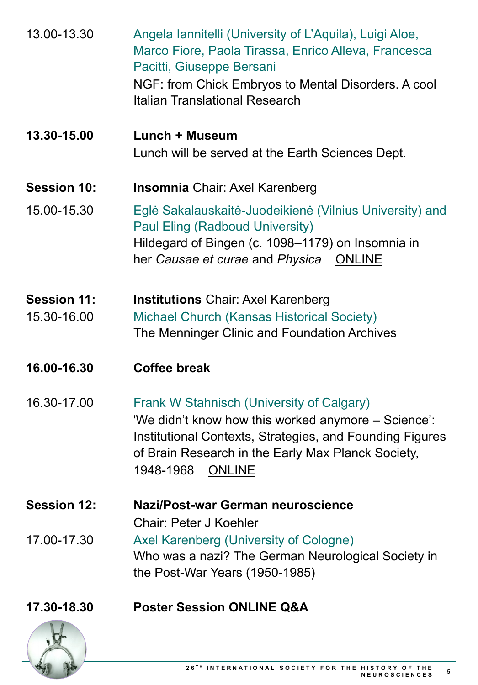| 13.00-13.30        | Angela Iannitelli (University of L'Aquila), Luigi Aloe,<br>Marco Fiore, Paola Tirassa, Enrico Alleva, Francesca<br>Pacitti, Giuseppe Bersani<br>NGF: from Chick Embryos to Mental Disorders. A cool<br><b>Italian Translational Research</b>            |
|--------------------|---------------------------------------------------------------------------------------------------------------------------------------------------------------------------------------------------------------------------------------------------------|
| 13.30-15.00        | Lunch + Museum<br>Lunch will be served at the Earth Sciences Dept.                                                                                                                                                                                      |
| <b>Session 10:</b> | <b>Insomnia</b> Chair: Axel Karenberg                                                                                                                                                                                                                   |
| 15.00-15.30        | Eglė Sakalauskaitė-Juodeikienė (Vilnius University) and<br><b>Paul Eling (Radboud University)</b><br>Hildegard of Bingen (c. 1098–1179) on Insomnia in<br>her Causae et curae and Physica ONLINE                                                        |
| <b>Session 11:</b> | <b>Institutions</b> Chair: Axel Karenberg                                                                                                                                                                                                               |
| 15.30-16.00        | <b>Michael Church (Kansas Historical Society)</b>                                                                                                                                                                                                       |
|                    | The Menninger Clinic and Foundation Archives                                                                                                                                                                                                            |
| 16.00-16.30        | Coffee break                                                                                                                                                                                                                                            |
| 16.30-17.00        | <b>Frank W Stahnisch (University of Calgary)</b><br>'We didn't know how this worked anymore – Science':<br>Institutional Contexts, Strategies, and Founding Figures<br>of Brain Research in the Early Max Planck Society,<br>1948-1968<br><b>ONLINE</b> |
| <b>Session 12:</b> | Nazi/Post-war German neuroscience                                                                                                                                                                                                                       |

Chair: Peter J Koehler

17.00-17.30 Axel Karenberg (University of Cologne) Who was a nazi? The German Neurological Society in the Post-War Years (1950-1985)

#### **17.30-18.30 Poster Session ONLINE Q&A**

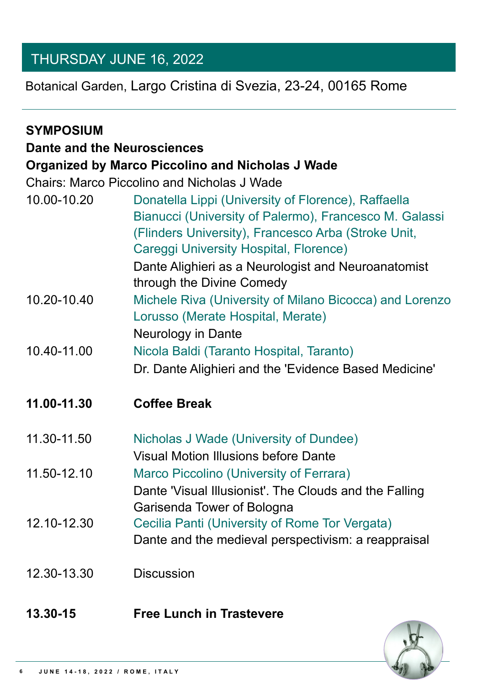## THURSDAY JUNE 16, 2022

Botanical Garden, Largo Cristina di Svezia, 23-24, 00165 Rome

| <b>SYMPOSIUM</b>                   |                                                                                                                                                                                                                |  |
|------------------------------------|----------------------------------------------------------------------------------------------------------------------------------------------------------------------------------------------------------------|--|
| <b>Dante and the Neurosciences</b> |                                                                                                                                                                                                                |  |
|                                    | <b>Organized by Marco Piccolino and Nicholas J Wade</b>                                                                                                                                                        |  |
|                                    | <b>Chairs: Marco Piccolino and Nicholas J Wade</b>                                                                                                                                                             |  |
| 10.00-10.20                        | Donatella Lippi (University of Florence), Raffaella<br>Bianucci (University of Palermo), Francesco M. Galassi<br>(Flinders University), Francesco Arba (Stroke Unit,<br>Careggi University Hospital, Florence) |  |
|                                    | Dante Alighieri as a Neurologist and Neuroanatomist<br>through the Divine Comedy                                                                                                                               |  |
| 10.20-10.40                        | Michele Riva (University of Milano Bicocca) and Lorenzo<br>Lorusso (Merate Hospital, Merate)<br><b>Neurology in Dante</b>                                                                                      |  |
| 10.40-11.00                        | Nicola Baldi (Taranto Hospital, Taranto)                                                                                                                                                                       |  |
|                                    | Dr. Dante Alighieri and the 'Evidence Based Medicine'                                                                                                                                                          |  |
| 11.00-11.30                        | <b>Coffee Break</b>                                                                                                                                                                                            |  |
| 11.30-11.50                        | Nicholas J Wade (University of Dundee)                                                                                                                                                                         |  |
|                                    | Visual Motion Illusions before Dante                                                                                                                                                                           |  |
| 11.50-12.10                        | Marco Piccolino (University of Ferrara)<br>Dante 'Visual Illusionist'. The Clouds and the Falling<br>Garisenda Tower of Bologna                                                                                |  |
|                                    |                                                                                                                                                                                                                |  |

12.10-12.30 Cecilia Panti (University of Rome Tor Vergata) Dante and the medieval perspectivism: a reappraisal

#### 12.30-13.30 Discussion

#### **13.30-15 Free Lunch in Trastevere**



**6 J U N E 1 4 - 1 8 , 2 0 2 2 / R O M E , I T A L Y**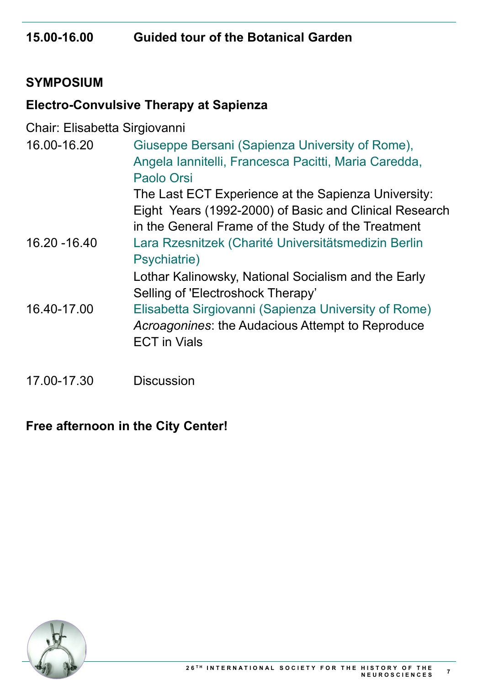## **15.00-16.00 Guided tour of the Botanical Garden**

#### **SYMPOSIUM**

### **Electro-Convulsive Therapy at Sapienza**

Chair: Elisabetta Sirgiovanni

| 16.00-16.20   | Giuseppe Bersani (Sapienza University of Rome),                                          |
|---------------|------------------------------------------------------------------------------------------|
|               | Angela Iannitelli, Francesca Pacitti, Maria Caredda,                                     |
|               | <b>Paolo Orsi</b>                                                                        |
|               | The Last ECT Experience at the Sapienza University:                                      |
|               | Eight Years (1992-2000) of Basic and Clinical Research                                   |
|               | in the General Frame of the Study of the Treatment                                       |
| 16.20 - 16.40 | Lara Rzesnitzek (Charité Universitätsmedizin Berlin                                      |
|               | Psychiatrie)                                                                             |
|               | Lothar Kalinowsky, National Socialism and the Early<br>Selling of 'Electroshock Therapy' |
| 16.40-17.00   | Elisabetta Sirgiovanni (Sapienza University of Rome)                                     |
|               | Acroagonines: the Audacious Attempt to Reproduce                                         |
|               | <b>ECT in Vials</b>                                                                      |
|               |                                                                                          |

17.00-17.30 Discussion

### **Free afternoon in the City Center!**

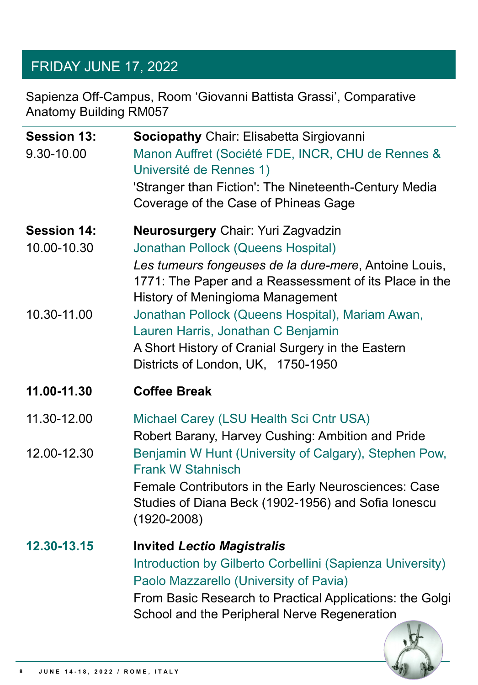# FRIDAY JUNE 17, 2022

Sapienza Off-Campus, Room 'Giovanni Battista Grassi', Comparative Anatomy Building RM057

| <b>Session 13:</b><br>9.30-10.00 | <b>Sociopathy Chair: Elisabetta Sirgiovanni</b><br>Manon Auffret (Société FDE, INCR, CHU de Rennes &<br>Université de Rennes 1)<br>'Stranger than Fiction': The Nineteenth-Century Media<br>Coverage of the Case of Phineas Gage |
|----------------------------------|----------------------------------------------------------------------------------------------------------------------------------------------------------------------------------------------------------------------------------|
| <b>Session 14:</b>               | <b>Neurosurgery Chair: Yuri Zagvadzin</b>                                                                                                                                                                                        |
| 10.00-10.30                      | <b>Jonathan Pollock (Queens Hospital)</b>                                                                                                                                                                                        |
|                                  | Les tumeurs fongeuses de la dure-mere, Antoine Louis,<br>1771: The Paper and a Reassessment of its Place in the<br><b>History of Meningioma Management</b>                                                                       |
| 10.30-11.00                      | Jonathan Pollock (Queens Hospital), Mariam Awan,<br>Lauren Harris, Jonathan C Benjamin                                                                                                                                           |
|                                  | A Short History of Cranial Surgery in the Eastern<br>Districts of London, UK, 1750-1950                                                                                                                                          |
| 11.00-11.30                      | <b>Coffee Break</b>                                                                                                                                                                                                              |
| 11.30-12.00                      | Michael Carey (LSU Health Sci Cntr USA)<br>Robert Barany, Harvey Cushing: Ambition and Pride                                                                                                                                     |
| 12.00-12.30                      | Benjamin W Hunt (University of Calgary), Stephen Pow,<br><b>Frank W Stahnisch</b>                                                                                                                                                |
|                                  | Female Contributors in the Early Neurosciences: Case<br>Studies of Diana Beck (1902-1956) and Sofia Ionescu<br>$(1920 - 2008)$                                                                                                   |

**12.30-13.15 Invited** *Lectio Magistralis* Introduction by Gilberto Corbellini (Sapienza University) Paolo Mazzarello (University of Pavia) From Basic Research to Practical Applications: the Golgi School and the Peripheral Nerve Regeneration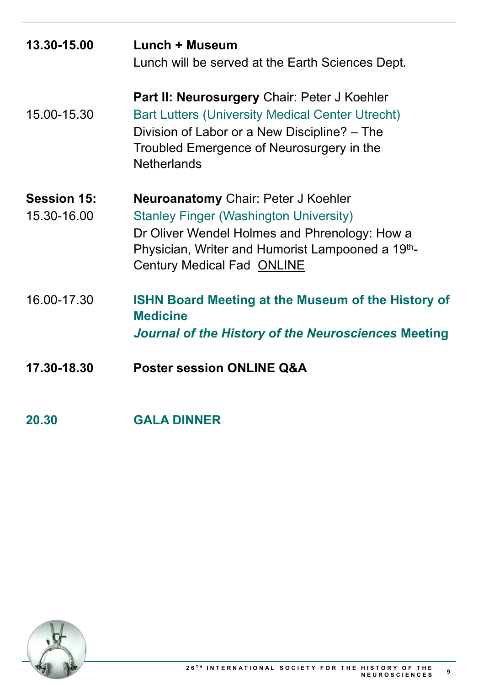| 13.30-15.00                       | Lunch + Museum<br>Lunch will be served at the Earth Sciences Dept.                                                                                                                                                                    |
|-----------------------------------|---------------------------------------------------------------------------------------------------------------------------------------------------------------------------------------------------------------------------------------|
| 15.00-15.30                       | <b>Part II: Neurosurgery Chair: Peter J Koehler</b><br><b>Bart Lutters (University Medical Center Utrecht)</b><br>Division of Labor or a New Discipline? – The<br>Troubled Emergence of Neurosurgery in the<br><b>Netherlands</b>     |
| <b>Session 15:</b><br>15.30-16.00 | <b>Neuroanatomy Chair: Peter J Koehler</b><br><b>Stanley Finger (Washington University)</b><br>Dr Oliver Wendel Holmes and Phrenology: How a<br>Physician, Writer and Humorist Lampooned a 19th-<br><b>Century Medical Fad ONLINE</b> |
| 16.00-17.30                       | <b>ISHN Board Meeting at the Museum of the History of</b><br><b>Medicine</b><br><b>Journal of the History of the Neurosciences Meeting</b>                                                                                            |
| 17.30-18.30                       | <b>Poster session ONLINE Q&amp;A</b>                                                                                                                                                                                                  |
| 20,30                             | <b>GALA DINNER</b>                                                                                                                                                                                                                    |

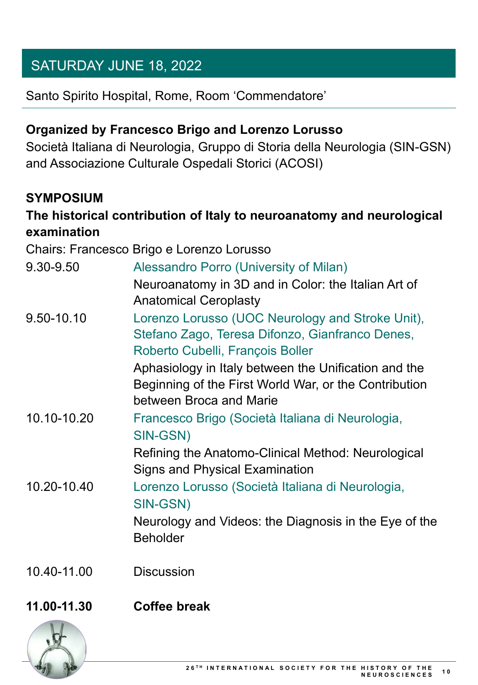#### **Organized by Francesco Brigo and Lorenzo Lorusso**

Società Italiana di Neurologia, Gruppo di Storia della Neurologia (SIN-GSN) and Associazione Culturale Ospedali Storici (ACOSI)

#### **SYMPOSIUM**

## **The historical contribution of Italy to neuroanatomy and neurological examination**

Chairs: Francesco Brigo e Lorenzo Lorusso

**26<sup>TH</sup> INTERNATIONAL SOCIETY FOR THE HISTORY OF THE 10 N E U R O S C I E N C E S**

| 9.30-9.50   | <b>Alessandro Porro (University of Milan)</b>                                                                                            |
|-------------|------------------------------------------------------------------------------------------------------------------------------------------|
|             | Neuroanatomy in 3D and in Color: the Italian Art of                                                                                      |
|             | <b>Anatomical Ceroplasty</b>                                                                                                             |
| 9.50-10.10  | Lorenzo Lorusso (UOC Neurology and Stroke Unit),<br>Stefano Zago, Teresa Difonzo, Gianfranco Denes,<br>Roberto Cubelli, François Boller  |
|             | Aphasiology in Italy between the Unification and the<br>Beginning of the First World War, or the Contribution<br>between Broca and Marie |
| 10.10-10.20 | Francesco Brigo (Società Italiana di Neurologia,<br>SIN-GSN)                                                                             |
|             | Refining the Anatomo-Clinical Method: Neurological<br><b>Signs and Physical Examination</b>                                              |
| 10.20-10.40 | Lorenzo Lorusso (Società Italiana di Neurologia,<br>SIN-GSN)                                                                             |
|             |                                                                                                                                          |

#### Neurology and Videos: the Diagnosis in the Eye of the Beholder

#### 10.40-11.00 Discussion

#### **11.00-11.30 Coffee break**



# SATURDAY JUNE 18, 2022

Santo Spirito Hospital, Rome, Room 'Commendatore'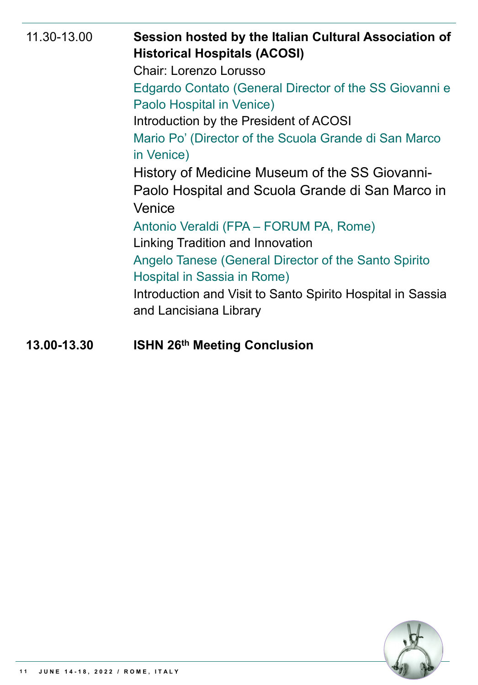| 11.30-13.00 | Session hosted by the Italian Cultural Association of<br><b>Historical Hospitals (ACOSI)</b><br><b>Chair: Lorenzo Lorusso</b><br>Edgardo Contato (General Director of the SS Giovanni e<br>Paolo Hospital in Venice)<br>Introduction by the President of ACOSI<br>Mario Po' (Director of the Scuola Grande di San Marco<br>in Venice)<br>History of Medicine Museum of the SS Giovanni-<br>Paolo Hospital and Scuola Grande di San Marco in<br>Venice<br>Antonio Veraldi (FPA - FORUM PA, Rome)<br><b>Linking Tradition and Innovation</b><br>Angelo Tanese (General Director of the Santo Spirito<br>Hospital in Sassia in Rome)<br>Introduction and Visit to Santo Spirito Hospital in Sassia<br>and Lancisiana Library |
|-------------|---------------------------------------------------------------------------------------------------------------------------------------------------------------------------------------------------------------------------------------------------------------------------------------------------------------------------------------------------------------------------------------------------------------------------------------------------------------------------------------------------------------------------------------------------------------------------------------------------------------------------------------------------------------------------------------------------------------------------|
|             |                                                                                                                                                                                                                                                                                                                                                                                                                                                                                                                                                                                                                                                                                                                           |

# **13.00-13.30 ISHN 26th Meeting Conclusion**

#### **1 1 J U N E 1 4 - 1 8 , 2 0 2 2 / R O M E , I T A L Y**

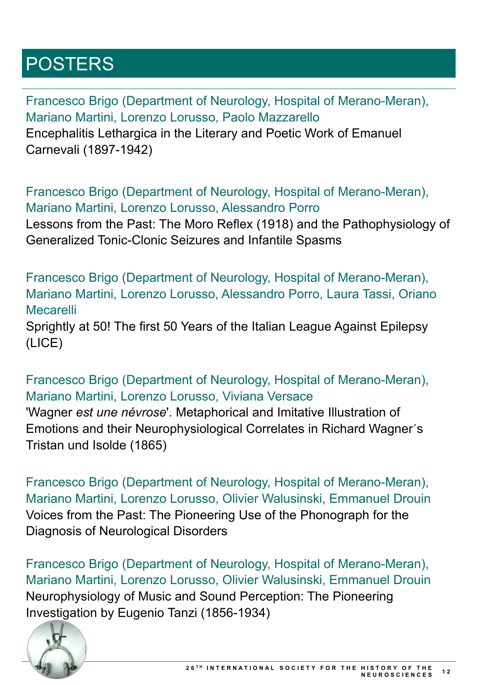Francesco Brigo (Department of Neurology, Hospital of Merano-Meran), Mariano Martini, Lorenzo Lorusso, Paolo Mazzarello Encephalitis Lethargica in the Literary and Poetic Work of Emanuel Carnevali (1897-1942)

Francesco Brigo (Department of Neurology, Hospital of Merano-Meran), Mariano Martini, Lorenzo Lorusso, Alessandro Porro Lessons from the Past: The Moro Reflex (1918) and the Pathophysiology of Generalized Tonic-Clonic Seizures and Infantile Spasms

Francesco Brigo (Department of Neurology, Hospital of Merano-Meran), Mariano Martini, Lorenzo Lorusso, Alessandro Porro, Laura Tassi, Oriano Mecarelli Sprightly at 50! The first 50 Years of the Italian League Against Epilepsy (LICE)

Francesco Brigo (Department of Neurology, Hospital of Merano-Meran), Mariano Martini, Lorenzo Lorusso, Viviana Versace 'Wagner *est une névrose*'. Metaphorical and Imitative Illustration of Emotions and their Neurophysiological Correlates in Richard Wagner´s Tristan und Isolde (1865)

Francesco Brigo (Department of Neurology, Hospital of Merano-Meran), Mariano Martini, Lorenzo Lorusso, Olivier Walusinski, Emmanuel Drouin Voices from the Past: The Pioneering Use of the Phonograph for the Diagnosis of Neurological Disorders

Francesco Brigo (Department of Neurology, Hospital of Merano-Meran), Mariano Martini, Lorenzo Lorusso, Olivier Walusinski, Emmanuel Drouin Neurophysiology of Music and Sound Perception: The Pioneering Investigation by Eugenio Tanzi (1856-1934)

# POSTERS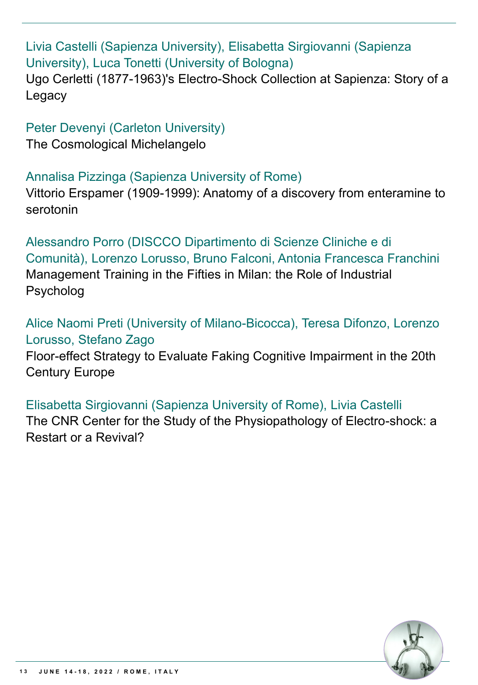Livia Castelli (Sapienza University), Elisabetta Sirgiovanni (Sapienza University), Luca Tonetti (University of Bologna) Ugo Cerletti (1877-1963)'s Electro-Shock Collection at Sapienza: Story of a Legacy

Peter Devenyi (Carleton University) The Cosmological Michelangelo

## Annalisa Pizzinga (Sapienza University of Rome)

Vittorio Erspamer (1909-1999): Anatomy of a discovery from enteramine to serotonin

Alessandro Porro (DISCCO Dipartimento di Scienze Cliniche e di Comunità), Lorenzo Lorusso, Bruno Falconi, Antonia Francesca Franchini Management Training in the Fifties in Milan: the Role of Industrial Psycholog

Alice Naomi Preti (University of Milano-Bicocca), Teresa Difonzo, Lorenzo Lorusso, Stefano Zago Floor-effect Strategy to Evaluate Faking Cognitive Impairment in the 20th Century Europe

Elisabetta Sirgiovanni (Sapienza University of Rome), Livia Castelli The CNR Center for the Study of the Physiopathology of Electro-shock: a Restart or a Revival?

#### **1 3 J U N E 1 4 - 1 8 , 2 0 2 2 / R O M E , I T A L Y**